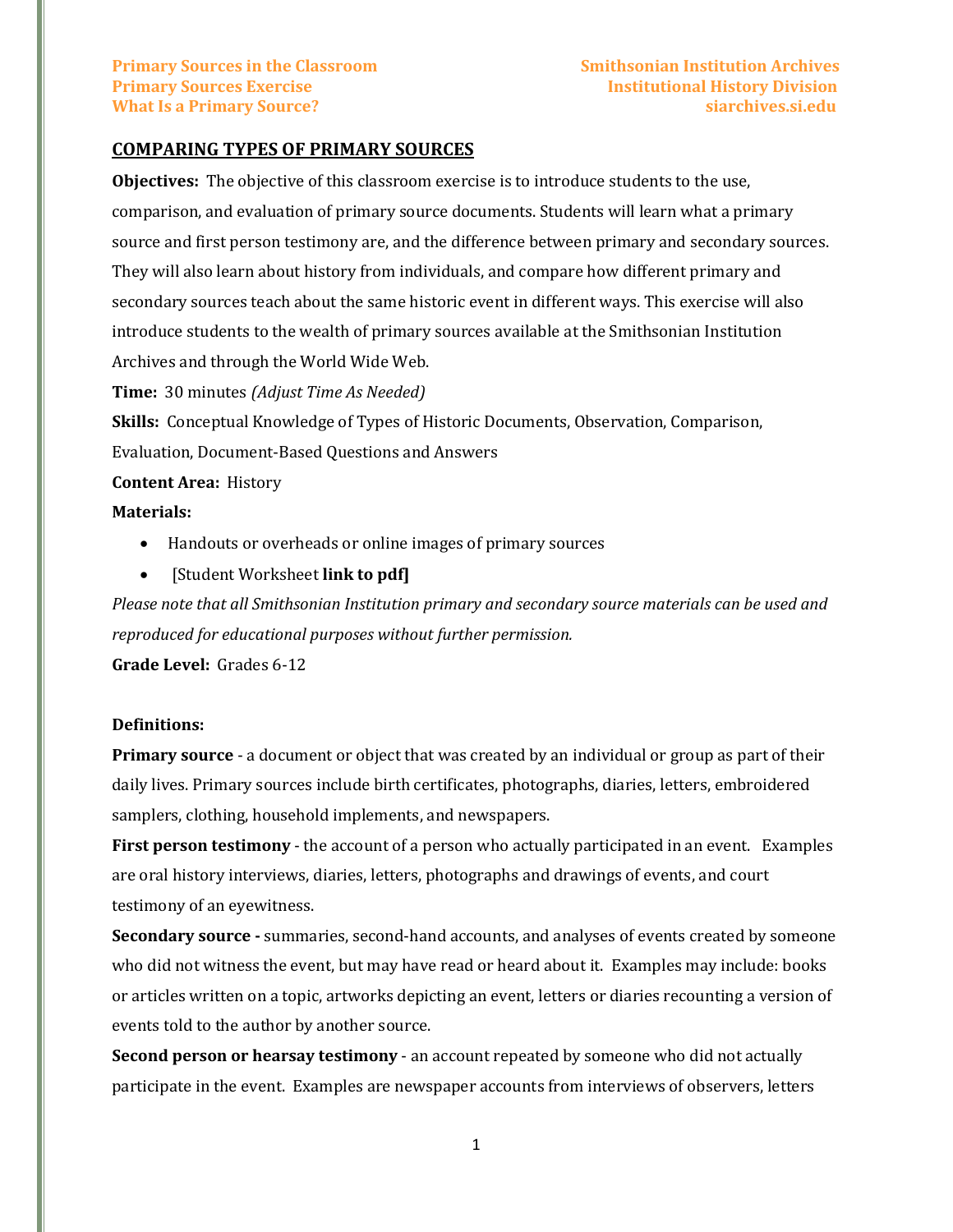### **COMPARING TYPES OF PRIMARY SOURCES**

**Objectives:** The objective of this classroom exercise is to introduce students to the use, comparison, and evaluation of primary source documents. Students will learn what a primary source and first person testimony are, and the difference between primary and secondary sources. They will also learn about history from individuals, and compare how different primary and secondary sources teach about the same historic event in different ways. This exercise will also introduce students to the wealth of primary sources available at the Smithsonian Institution Archives and through the World Wide Web.

**Time:** 30 minutes *(Adjust Time As Needed)*

**Skills:** Conceptual Knowledge of Types of Historic Documents, Observation, Comparison, Evaluation, Document-Based Questions and Answers

### **Content Area:** History

### **Materials:**

- Handouts or overheads or online images of primary sources
- [Student Worksheet **link to pdf]**

*Please note that all Smithsonian Institution primary and secondary source materials can be used and reproduced for educational purposes without further permission.*

**Grade Level:** Grades 6-12

### **Definitions:**

**Primary source** - a document or object that was created by an individual or group as part of their daily lives. Primary sources include birth certificates, photographs, diaries, letters, embroidered samplers, clothing, household implements, and newspapers.

**First person testimony** - the account of a person who actually participated in an event. Examples are oral history interviews, diaries, letters, photographs and drawings of events, and court testimony of an eyewitness.

**Secondary source -** summaries, second-hand accounts, and analyses of events created by someone who did not witness the event, but may have read or heard about it. Examples may include: books or articles written on a topic, artworks depicting an event, letters or diaries recounting a version of events told to the author by another source.

**Second person or hearsay testimony** - an account repeated by someone who did not actually participate in the event. Examples are newspaper accounts from interviews of observers, letters

1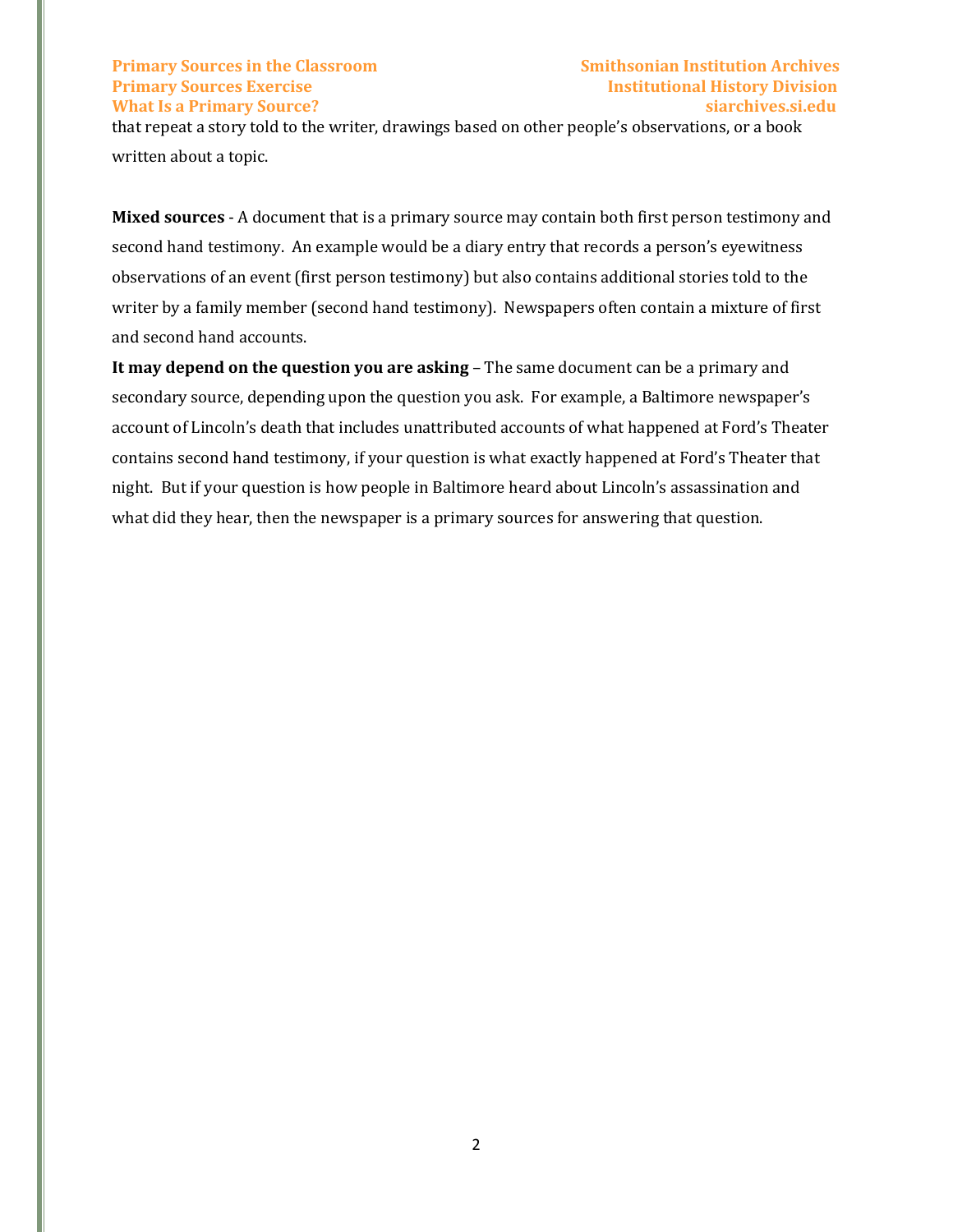# **Primary Sources in the Classroom Smithsonian Institution Archives Primary Sources Exercise Institutional History Division What Is a Primary Source? siarchives.si.edu**

that repeat a story told to the writer, drawings based on other people's observations, or a book written about a topic.

**Mixed sources** - A document that is a primary source may contain both first person testimony and second hand testimony. An example would be a diary entry that records a person's eyewitness observations of an event (first person testimony) but also contains additional stories told to the writer by a family member (second hand testimony). Newspapers often contain a mixture of first and second hand accounts.

**It may depend on the question you are asking - The same document can be a primary and** secondary source, depending upon the question you ask. For example, a Baltimore newspaper's account of Lincoln's death that includes unattributed accounts of what happened at Ford's Theater contains second hand testimony, if your question is what exactly happened at Ford's Theater that night. But if your question is how people in Baltimore heard about Lincoln's assassination and what did they hear, then the newspaper is a primary sources for answering that question.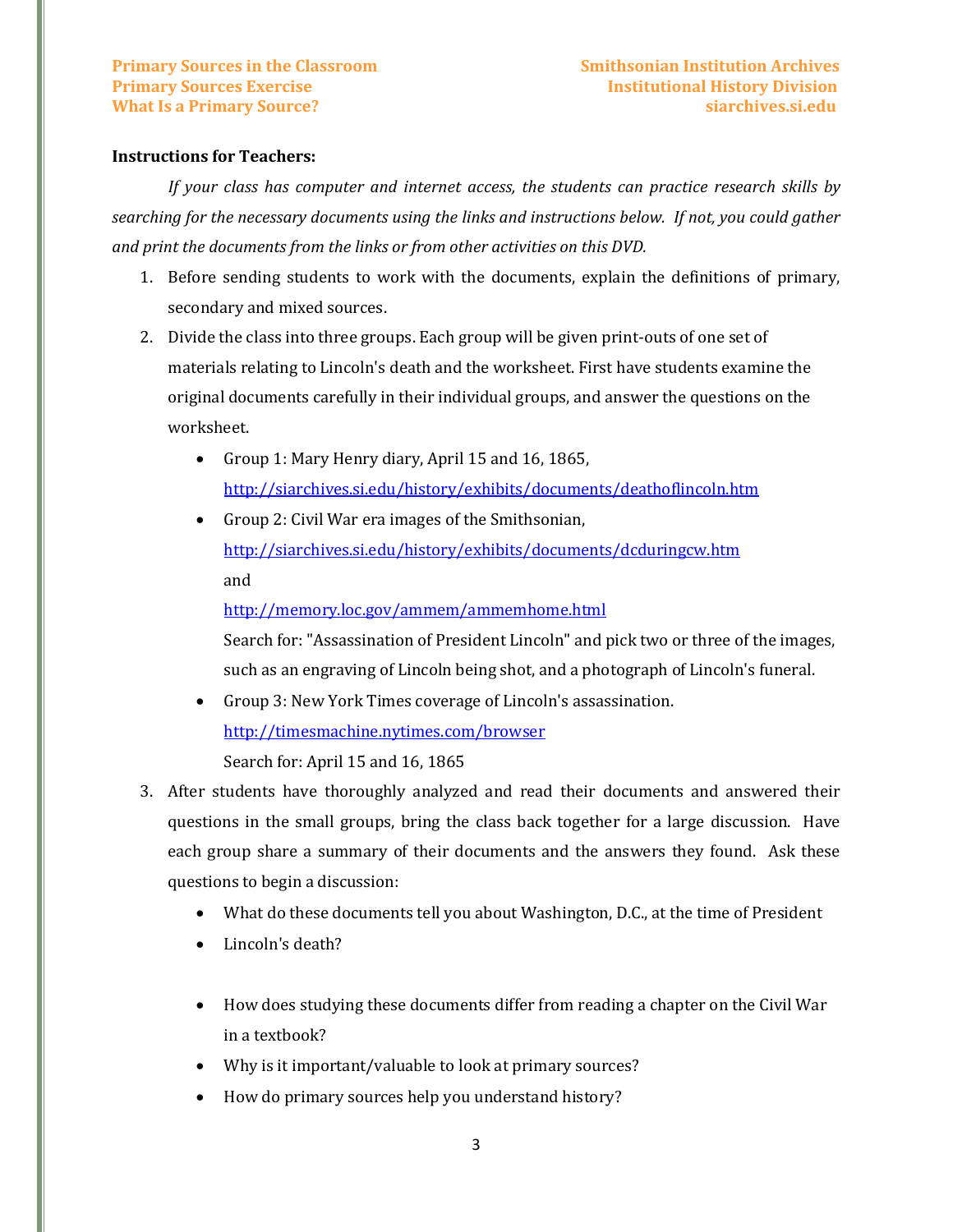### **Instructions for Teachers:**

*If your class has computer and internet access, the students can practice research skills by searching for the necessary documents using the links and instructions below. If not, you could gather and print the documents from the links or from other activities on this DVD.*

- 1. Before sending students to work with the documents, explain the definitions of primary, secondary and mixed sources.
- 2. Divide the class into three groups. Each group will be given print-outs of one set of materials relating to Lincoln's death and the worksheet. First have students examine the original documents carefully in their individual groups, and answer the questions on the worksheet.
	- Group 1: Mary Henry diary, April 15 and 16, 1865, <http://siarchives.si.edu/history/exhibits/documents/deathoflincoln.htm>
	- Group 2: Civil War era images of the Smithsonian, <http://siarchives.si.edu/history/exhibits/documents/dcduringcw.htm> and

<http://memory.loc.gov/ammem/ammemhome.html>

Search for: "Assassination of President Lincoln" and pick two or three of the images, such as an engraving of Lincoln being shot, and a photograph of Lincoln's funeral.

- Group 3: New York Times coverage of Lincoln's assassination. <http://timesmachine.nytimes.com/browser> Search for: April 15 and 16, 1865
- 3. After students have thoroughly analyzed and read their documents and answered their questions in the small groups, bring the class back together for a large discussion. Have each group share a summary of their documents and the answers they found. Ask these questions to begin a discussion:
	- What do these documents tell you about Washington, D.C., at the time of President
	- Lincoln's death?
	- How does studying these documents differ from reading a chapter on the Civil War in a textbook?
	- Why is it important/valuable to look at primary sources?
	- How do primary sources help you understand history?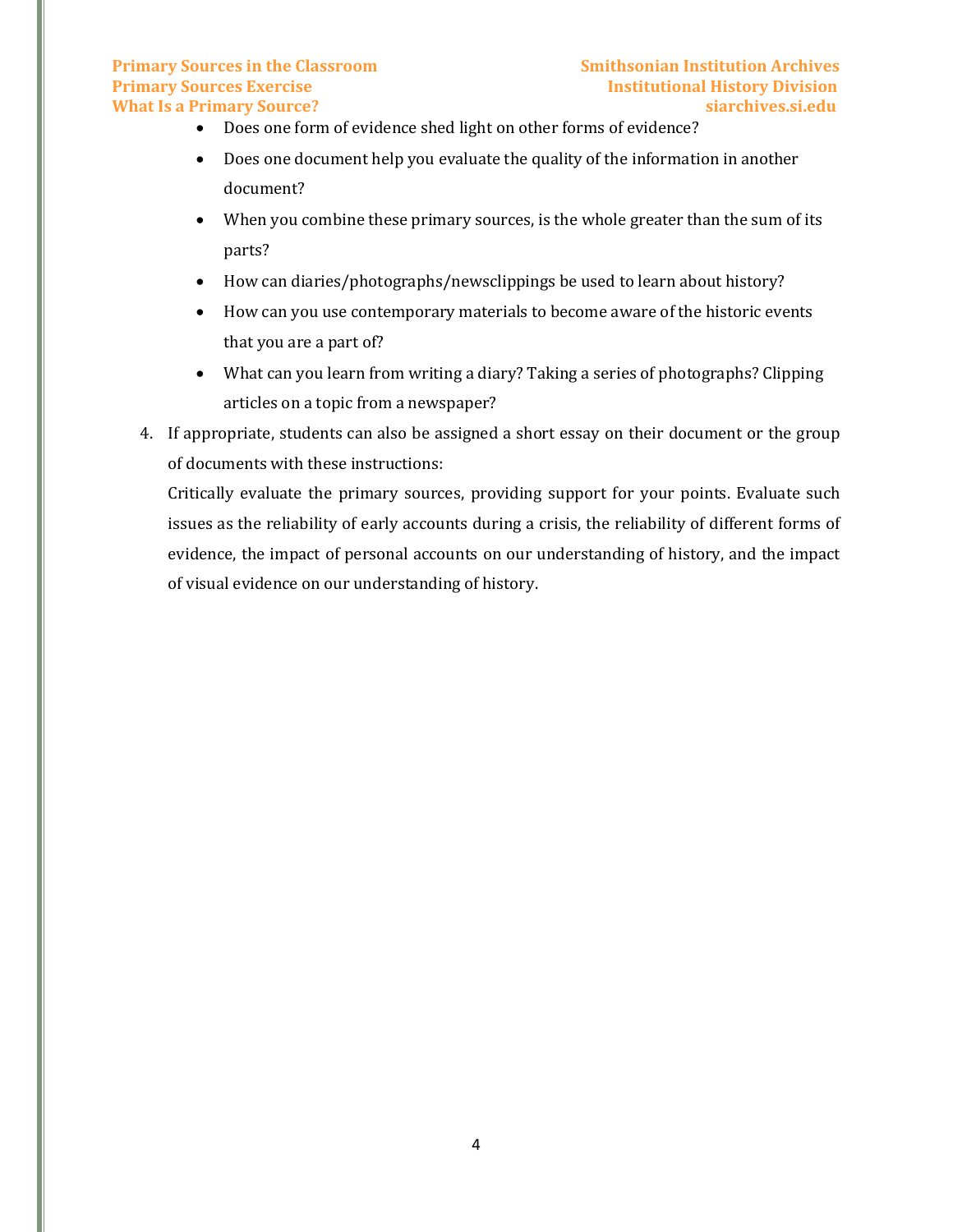# **Primary Sources in the Classroom Smithsonian Institution Archives Primary Sources Exercise Institutional History Division What Is a Primary Source? siarchives.si.edu**

- Does one form of evidence shed light on other forms of evidence?
- Does one document help you evaluate the quality of the information in another document?
- When you combine these primary sources, is the whole greater than the sum of its parts?
- How can diaries/photographs/newsclippings be used to learn about history?
- How can you use contemporary materials to become aware of the historic events that you are a part of?
- What can you learn from writing a diary? Taking a series of photographs? Clipping articles on a topic from a newspaper?
- 4. If appropriate, students can also be assigned a short essay on their document or the group of documents with these instructions:

Critically evaluate the primary sources, providing support for your points. Evaluate such issues as the reliability of early accounts during a crisis, the reliability of different forms of evidence, the impact of personal accounts on our understanding of history, and the impact of visual evidence on our understanding of history.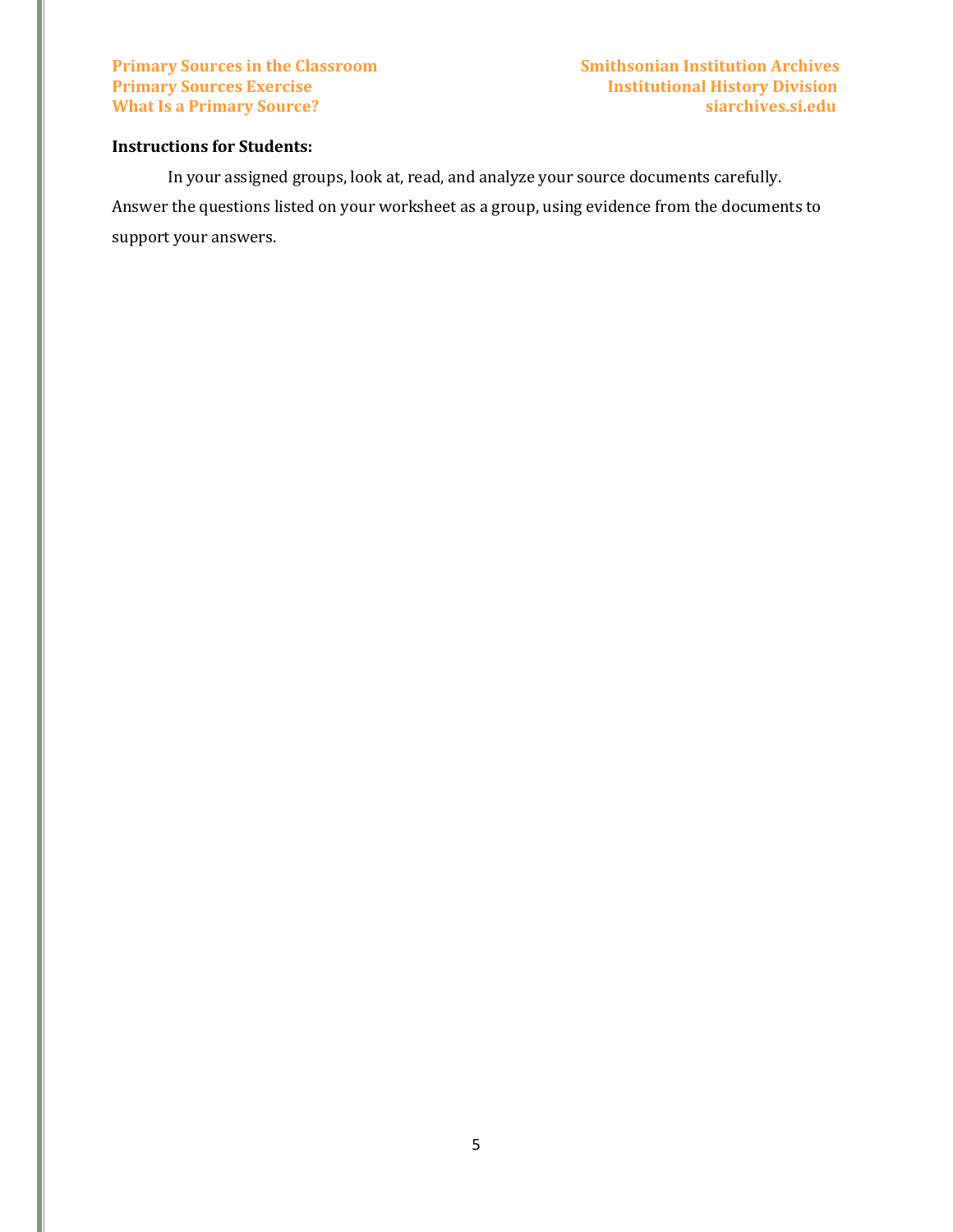# **Instructions for Students:**

In your assigned groups, look at, read, and analyze your source documents carefully. Answer the questions listed on your worksheet as a group, using evidence from the documents to support your answers.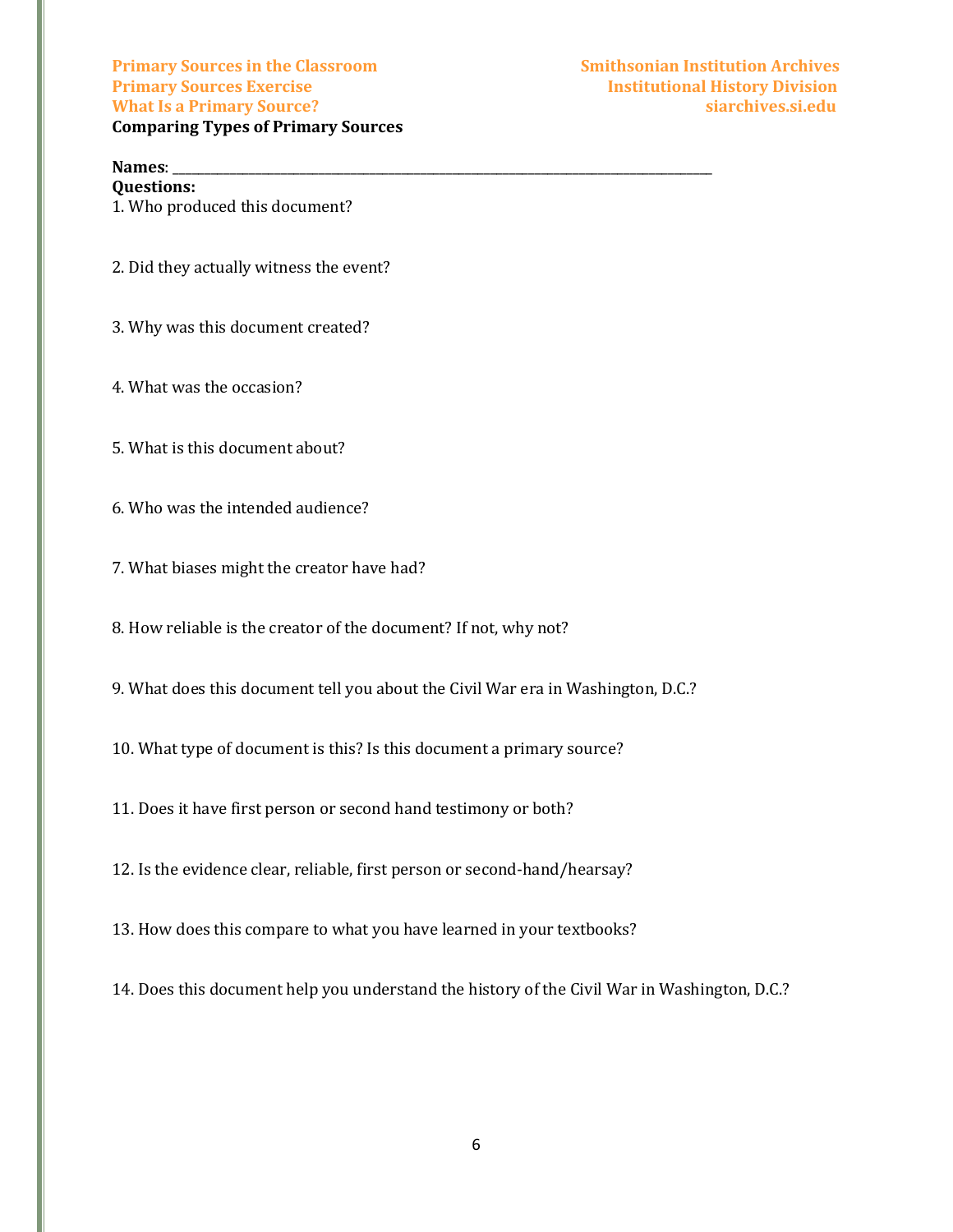**Primary Sources in the Classroom Smithsonian Institution Archives Primary Sources Exercise Institutional History Division What Is a Primary Source? siarchives.si.edu Comparing Types of Primary Sources**

# **Names**: \_\_\_\_\_\_\_\_\_\_\_\_\_\_\_\_\_\_\_\_\_\_\_\_\_\_\_\_\_\_\_\_\_\_\_\_\_\_\_\_\_\_\_\_\_\_\_\_\_\_\_\_\_\_\_\_\_\_\_\_\_\_\_\_\_\_\_\_\_\_\_\_\_\_\_\_\_\_\_\_\_\_\_\_\_

**Questions:** 1. Who produced this document?

- 2. Did they actually witness the event?
- 3. Why was this document created?
- 4. What was the occasion?
- 5. What is this document about?
- 6. Who was the intended audience?
- 7. What biases might the creator have had?
- 8. How reliable is the creator of the document? If not, why not?
- 9. What does this document tell you about the Civil War era in Washington, D.C.?
- 10. What type of document is this? Is this document a primary source?
- 11. Does it have first person or second hand testimony or both?
- 12. Is the evidence clear, reliable, first person or second-hand/hearsay?
- 13. How does this compare to what you have learned in your textbooks?
- 14. Does this document help you understand the history of the Civil War in Washington, D.C.?